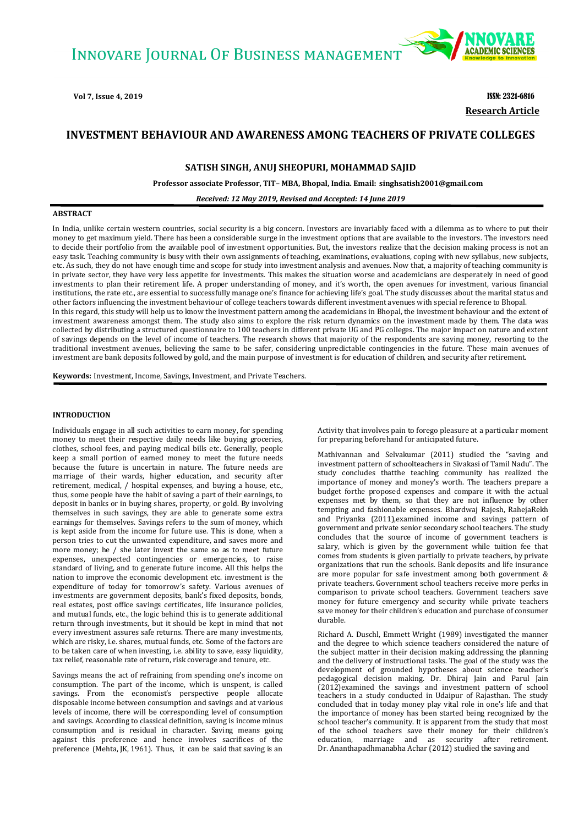

 **Research Article Vol 7, Issue 4, 2019** ISSN: 2321-6816

# **INVESTMENT BEHAVIOUR AND AWARENESS AMONG TEACHERS OF PRIVATE COLLEGES**

## **SATISH SINGH, ANUJ SHEOPURI, MOHAMMAD SAJID**

**Professor associate Professor, TIT– MBA, Bhopal, India[. Email:](mailto:sharmark0412@gmail.com) singhsatish2001@gmail.com**

*Received: 12 May 2019, Revised and Accepted: 14 June 2019*

#### **ABSTRACT**

In India, unlike certain western countries, social security is a big concern. Investors are invariably faced with a dilemma as to where to put their money to get maximum yield. There has been a considerable surge in the investment options that are available to the investors. The investors need to decide their portfolio from the available pool of investment opportunities. But, the investors realize that the decision making process is not an easy task. Teaching community is busy with their own assignments of teaching, examinations, evaluations, coping with new syllabus, new subjects, etc. As such, they do not have enough time and scope for study into investment analysis and avenues. Now that, a majority of teaching community is in private sector, they have very less appetite for investments. This makes the situation worse and academicians are desperately in need of good investments to plan their retirement life. A proper understanding of money, and it's worth, the open avenues for investment, various financial institutions, the rate etc., are essential to successfully manage one's finance for achieving life's goal. The study discusses about the marital status and other factors influencing the investment behaviour of college teachers towards different investment avenues with special reference to Bhopal. In this regard, this study will help us to know the investment pattern among the academicians in Bhopal, the investment behaviour and the extent of investment awareness amongst them. The study also aims to explore the risk return dynamics on the investment made by them. The data was collected by distributing a structured questionnaire to 100 teachers in different private UG and PG colleges. The major impact on nature and extent of savings depends on the level of income of teachers. The research shows that majority of the respondents are saving money, resorting to the traditional investment avenues, believing the same to be safer, considering unpredictable contingencies in the future. These main avenues of investment are bank deposits followed by gold, and the main purpose of investment is for education of children, and security after retirement.

**Keywords:** Investment, Income, Savings, Investment, and Private Teachers.

## **INTRODUCTION**

Individuals engage in all such activities to earn money, for spending money to meet their respective daily needs like buying groceries, clothes, school fees, and paying medical bills etc. Generally, people keep a small portion of earned money to meet the future needs because the future is uncertain in nature. The future needs are marriage of their wards, higher education, and security after retirement, medical, / hospital expenses, and buying a house, etc., thus, some people have the habit of saving a part of their earnings, to deposit in banks or in buying shares, property, or gold. By involving themselves in such savings, they are able to generate some extra earnings for themselves. Savings refers to the sum of money, which is kept aside from the income for future use. This is done, when a person tries to cut the unwanted expenditure, and saves more and more money; he / she later invest the same so as to meet future expenses, unexpected contingencies or emergencies, to raise standard of living, and to generate future income. All this helps the nation to improve the economic development etc. investment is the expenditure of today for tomorrow's safety. Various avenues of investments are government deposits, bank's fixed deposits, bonds, real estates, post office savings certificates, life insurance policies, and mutual funds, etc., the logic behind this is to generate additional return through investments, but it should be kept in mind that not every investment assures safe returns. There are many investments, which are risky, i.e. shares, mutual funds, etc. Some of the factors are to be taken care of when investing, i.e. ability to save, easy liquidity, tax relief, reasonable rate of return, risk coverage and tenure, etc.

Savings means the act of refraining from spending one's income on consumption. The part of the income, which is unspent, is called savings. From the economist's perspective people allocate disposable income between consumption and savings and at various levels of income, there will be corresponding level of consumption and savings. According to classical definition, saving is income minus consumption and is residual in character. Saving means going against this preference and hence involves sacrifices of the preference (Mehta, JK, 1961). Thus, it can be said that saving is an

Activity that involves pain to forego pleasure at a particular moment for preparing beforehand for anticipated future.

Mathivannan and Selvakumar (2011) studied the "saving and investment pattern of schoolteachers in Sivakasi of Tamil Nadu". The study concludes thatthe teaching community has realized the importance of money and money's worth. The teachers prepare a budget forthe proposed expenses and compare it with the actual expenses met by them, so that they are not influence by other tempting and fashionable expenses. Bhardwaj Rajesh, RahejaRekh and Priyanka (2011),examined income and savings pattern of government and private senior secondary school teachers. The study concludes that the source of income of government teachers is salary, which is given by the government while tuition fee that comes from students is given partially to private teachers, by private organizations that run the schools. Bank deposits and life insurance are more popular for safe investment among both government & private teachers. Government school teachers receive more perks in comparison to private school teachers. Government teachers save money for future emergency and security while private teachers save money for their children's education and purchase of consumer durable.

Richard A. Duschl, Emmett Wright (1989) investigated the manner and the degree to which science teachers considered the nature of the subject matter in their decision making addressing the planning and the delivery of instructional tasks. The goal of the study was the development of grounded hypotheses about science teacher's pedagogical decision making. Dr. Dhiraj Jain and Parul Jain (2012)examined the savings and investment pattern of school teachers in a study conducted in Udaipur of Rajasthan. The study concluded that in today money play vital role in one's life and that the importance of money has been started being recognized by the school teacher's community. It is apparent from the study that most of the school teachers save their money for their children's education, marriage and as security after retirement. Dr. Ananthapadhmanabha Achar (2012) studied the saving and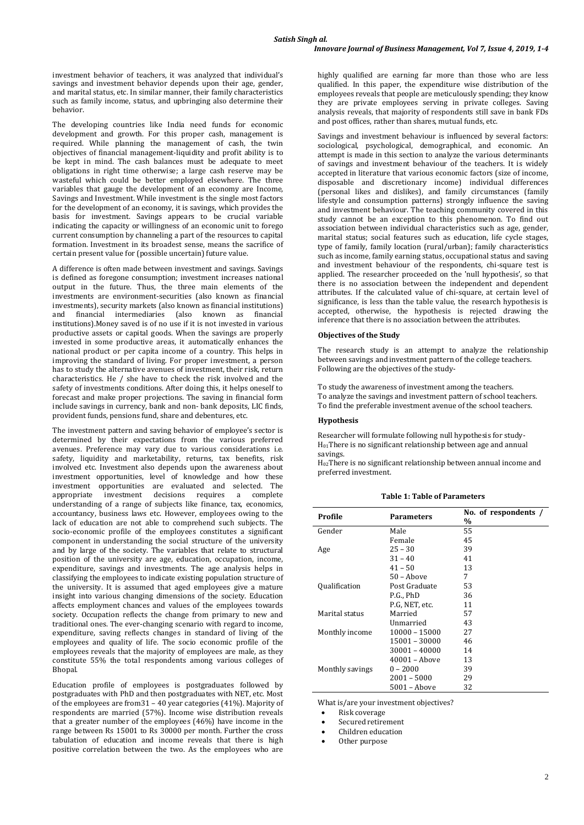investment behavior of teachers, it was analyzed that individual's savings and investment behavior depends upon their age, gender, and marital status, etc. In similar manner, their family characteristics such as family income, status, and upbringing also determine their behavior.

The developing countries like India need funds for economic development and growth. For this proper cash, management is required. While planning the management of cash, the twin objectives of financial management-liquidity and profit ability is to be kept in mind. The cash balances must be adequate to meet obligations in right time otherwise; a large cash reserve may be wasteful which could be better employed elsewhere. The three variables that gauge the development of an economy are Income, Savings and Investment. While investment is the single most factors for the development of an economy, it is savings, which provides the basis for investment. Savings appears to be crucial variable indicating the capacity or willingness of an economic unit to forego current consumption by channeling a part of the resources to capital formation. Investment in its broadest sense, means the sacrifice of certain present value for (possible uncertain) future value.

A difference is often made between investment and savings. Savings is defined as foregone consumption; investment increases national output in the future. Thus, the three main elements of the investments are environment-securities (also known as financial investments), security markets (also known as financial institutions) and financial intermediaries (also known as financial institutions).Money saved is of no use if it is not invested in various productive assets or capital goods. When the savings are properly invested in some productive areas, it automatically enhances the national product or per capita income of a country. This helps in improving the standard of living. For proper investment, a person has to study the alternative avenues of investment, their risk, return characteristics. He / she have to check the risk involved and the safety of investments conditions. After doing this, it helps oneself to forecast and make proper projections. The saving in financial form include savings in currency, bank and non- bank deposits, LIC finds, provident funds, pensions fund, share and debentures, etc.

The investment pattern and saving behavior of employee's sector is determined by their expectations from the various preferred avenues. Preference may vary due to various considerations i.e. safety, liquidity and marketability, returns, tax benefits, risk involved etc. Investment also depends upon the awareness about investment opportunities, level of knowledge and how these investment opportunities are evaluated and selected. The appropriate investment decisions requires a complete understanding of a range of subjects like finance, tax, economics, accountancy, business laws etc. However, employees owing to the lack of education are not able to comprehend such subjects. The socio-economic profile of the employees constitutes a significant component in understanding the social structure of the university and by large of the society. The variables that relate to structural position of the university are age, education, occupation, income, expenditure, savings and investments. The age analysis helps in classifying the employees to indicate existing population structure of the university. It is assumed that aged employees give a mature insight into various changing dimensions of the society. Education affects employment chances and values of the employees towards society. Occupation reflects the change from primary to new and traditional ones. The ever-changing scenario with regard to income, expenditure, saving reflects changes in standard of living of the employees and quality of life. The socio economic profile of the employees reveals that the majority of employees are male, as they constitute 55% the total respondents among various colleges of **Bhopal** 

Education profile of employees is postgraduates followed by postgraduates with PhD and then postgraduates with NET, etc. Most of the employees are from31 – 40 year categories (41%). Majority of respondents are married (57%). Income wise distribution reveals that a greater number of the employees (46%) have income in the range between Rs 15001 to Rs 30000 per month. Further the cross tabulation of education and income reveals that there is high positive correlation between the two. As the employees who are

highly qualified are earning far more than those who are less qualified. In this paper, the expenditure wise distribution of the employees reveals that people are meticulously spending; they know they are private employees serving in private colleges. Saving analysis reveals, that majority of respondents still save in bank FDs and post offices, rather than shares, mutual funds, etc.

Savings and investment behaviour is influenced by several factors: sociological, psychological, demographical, and economic. An attempt is made in this section to analyze the various determinants of savings and investment behaviour of the teachers. It is widely accepted in literature that various economic factors (size of income, disposable and discretionary income) individual differences (personal likes and dislikes), and family circumstances (family lifestyle and consumption patterns) strongly influence the saving and investment behaviour. The teaching community covered in this study cannot be an exception to this phenomenon. To find out association between individual characteristics such as age, gender, marital status; social features such as education, life cycle stages, type of family, family location (rural/urban); family characteristics such as income, family earning status, occupational status and saving and investment behaviour of the respondents, chi-square test is applied. The researcher proceeded on the 'null hypothesis', so that there is no association between the independent and dependent attributes. If the calculated value of chi-square, at certain level of significance, is less than the table value, the research hypothesis is accepted, otherwise, the hypothesis is rejected drawing the inference that there is no association between the attributes.

### **Objectives of the Study**

The research study is an attempt to analyze the relationship between savings and investment pattern of the college teachers. Following are the objectives of the study-

To study the awareness of investment among the teachers. To analyze the savings and investment pattern of school teachers. To find the preferable investment avenue of the school teachers.

### **Hypothesis**

Researcher will formulate following null hypothesis for study- $H<sub>01</sub>$ There is no significant relationship between age and annual savings.

H02There is no significant relationship between annual income and preferred investment.

| Profile         | <b>Parameters</b> | No. of respondents /<br>% |  |  |
|-----------------|-------------------|---------------------------|--|--|
| Gender          | Male              | 55                        |  |  |
|                 | Female            | 45                        |  |  |
| Age             | $25 - 30$         | 39                        |  |  |
|                 | $31 - 40$         | 41                        |  |  |
|                 | $41 - 50$         | 13                        |  |  |
|                 | $50 -$ Above      | 7                         |  |  |
| Qualification   | Post Graduate     | 53                        |  |  |
|                 | P.G., PhD         | 36                        |  |  |
|                 | P.G. NET, etc.    | 11                        |  |  |
| Marital status  | Married           | 57                        |  |  |
|                 | Unmarried         | 43                        |  |  |
| Monthly income  | 10000 - 15000     | 27                        |  |  |
|                 | 15001 - 30000     | 46                        |  |  |
|                 | 30001 - 40000     | 14                        |  |  |
|                 | $40001 -$ Above   | 13                        |  |  |
| Monthly savings | $0 - 2000$        | 39                        |  |  |
|                 | $2001 - 5000$     | 29                        |  |  |
|                 | 5001 - Above      | 32                        |  |  |

**Table 1: Table of Parameters**

What is/are your investment objectives?

- Risk coverage
- Secured retirement
- Children education
- Other purpose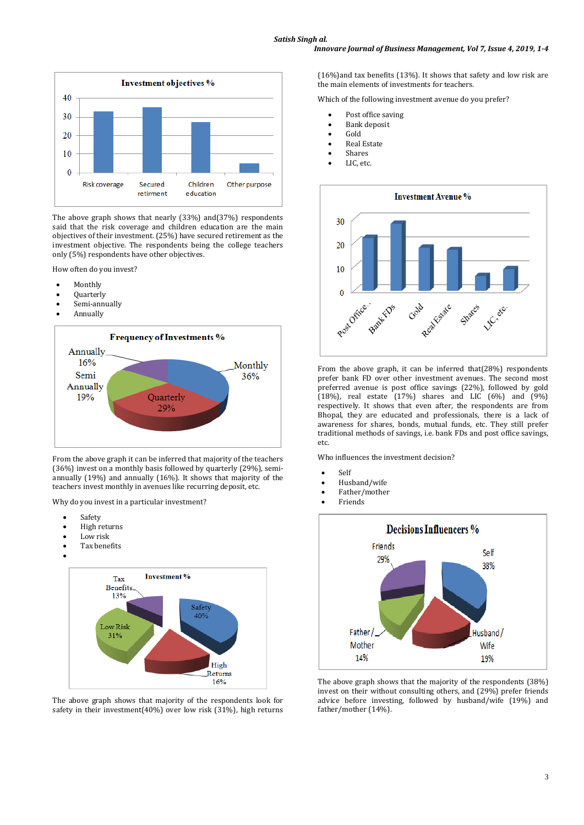

The above graph shows that nearly (33%) and(37%) respondents said that the risk coverage and children education are the main objectives of their investment. (25%) have secured retirement as the investment objective. The respondents being the college teachers only (5%) respondents have other objectives.

How often do you invest?

- Monthly
- Quarterly
- Semi-annually
- Annually



From the above graph it can be inferred that majority of the teachers (36%) invest on a monthly basis followed by quarterly (29%), semiannually (19%) and annually (16%). It shows that majority of the teachers invest monthly in avenues like recurring deposit, etc.

Why do you invest in a particular investment?

- Safety
- High returns
- Low risk
- Tax benefits
- $\bullet$



The above graph shows that majority of the respondents look for safety in their investment(40%) over low risk (31%), high returns (16%)and tax benefits (13%). It shows that safety and low risk are the main elements of investments for teachers.

Which of the following investment avenue do you prefer?

- Post office saving
- Bank deposit
- Gold
- Real Estate
- Shares
- LIC, etc.



From the above graph, it can be inferred that(28%) respondents prefer bank FD over other investment avenues. The second most preferred avenue is post office savings (22%), followed by gold (18%), real estate (17%) shares and LIC (6%) and (9%) respectively. It shows that even after, the respondents are from Bhopal, they are educated and professionals, there is a lack of awareness for shares, bonds, mutual funds, etc. They still prefer traditional methods of savings, i.e. bank FDs and post office savings, etc.

Who influences the investment decision?

- Self
- Husband/wife
- Father/mother
- Friends



The above graph shows that the majority of the respondents (38%) invest on their without consulting others, and (29%) prefer friends advice before investing, followed by husband/wife (19%) and father/mother (14%).